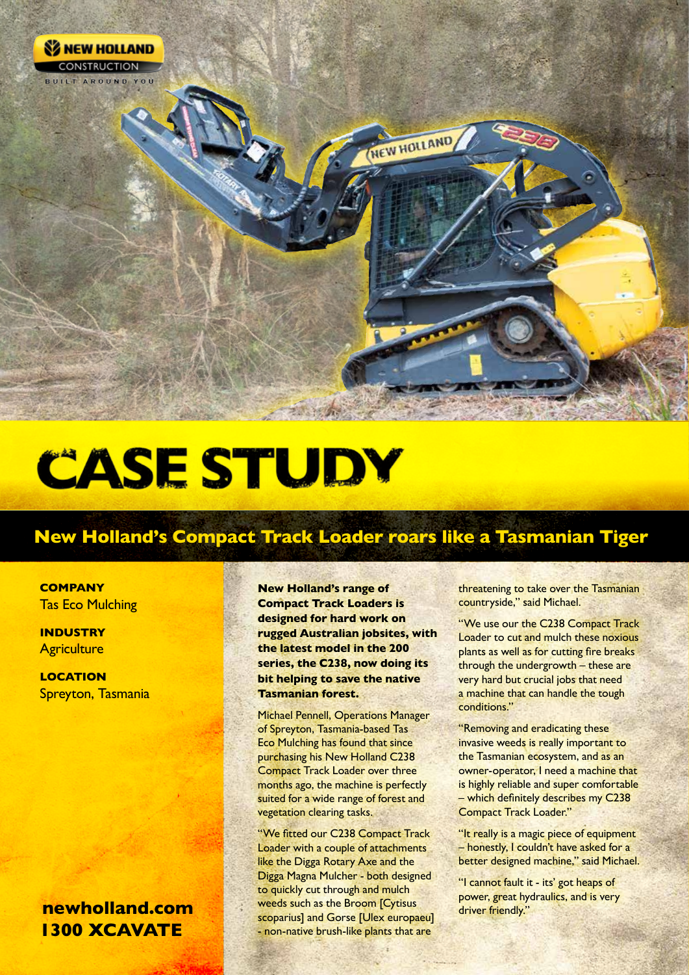

## **CASE STUDY**

## **New Holland's Compact Track Loader roars like a Tasmanian Tiger**

**COMPANY** Tas Eco Mulching

**INDUSTRY Agriculture** 

**LOCATION** Spreyton, Tasmania

## **1300 XCAVATE newholland.com**

**New Holland's range of Compact Track Loaders is designed for hard work on rugged Australian jobsites, with the latest model in the 200 series, the C238, now doing its bit helping to save the native Tasmanian forest.**

Michael Pennell, Operations Manager of Spreyton, Tasmania-based Tas Eco Mulching has found that since purchasing his New Holland C238 Compact Track Loader over three months ago, the machine is perfectly suited for a wide range of forest and vegetation clearing tasks.

"We fitted our C238 Compact Track Loader with a couple of attachments like the Digga Rotary Axe and the Digga Magna Mulcher - both designed to quickly cut through and mulch weeds such as the Broom [Cytisus scoparius] and Gorse [Ulex europaeu] - non-native brush-like plants that are

threatening to take over the Tasmanian countryside," said Michael.

"We use our the C238 Compact Track Loader to cut and mulch these noxious plants as well as for cutting fire breaks through the undergrowth – these are very hard but crucial jobs that need a machine that can handle the tough conditions."

"Removing and eradicating these invasive weeds is really important to the Tasmanian ecosystem, and as an owner-operator, I need a machine that is highly reliable and super comfortable – which definitely describes my C238 Compact Track Loader."

"It really is a magic piece of equipment – honestly, I couldn't have asked for a better designed machine," said Michael.

"I cannot fault it - its' got heaps of power, great hydraulics, and is very driver friendly."